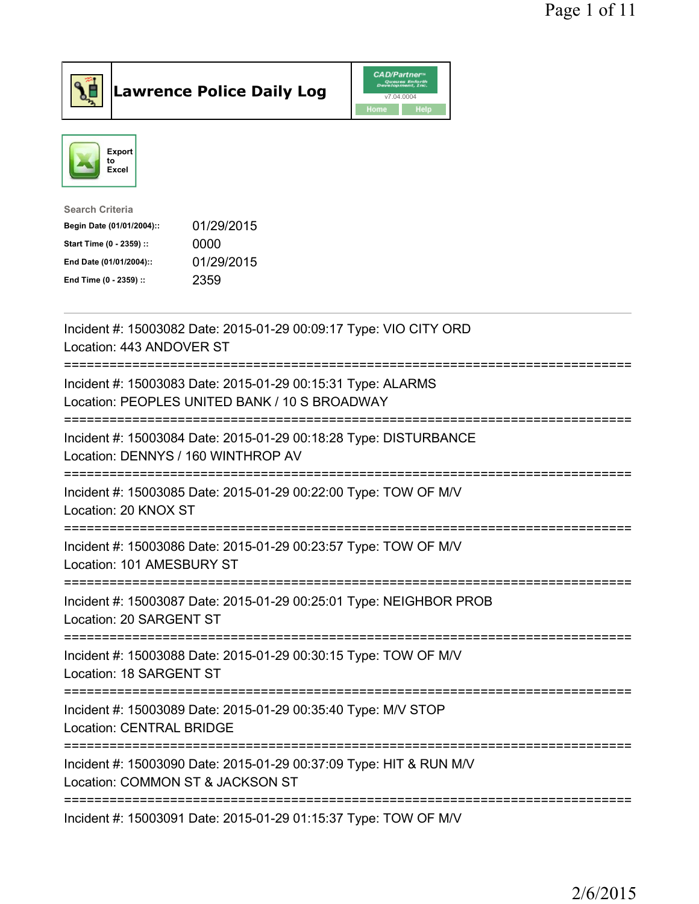

Lawrence Police Daily Log CAD/Partners



| <b>Search Criteria</b>    |            |
|---------------------------|------------|
| Begin Date (01/01/2004):: | 01/29/2015 |
| Start Time (0 - 2359) ::  | 0000       |
| End Date (01/01/2004)::   | 01/29/2015 |
| End Time (0 - 2359) ::    | 2359       |
|                           |            |

| Incident #: 15003082 Date: 2015-01-29 00:09:17 Type: VIO CITY ORD<br>Location: 443 ANDOVER ST                       |
|---------------------------------------------------------------------------------------------------------------------|
| Incident #: 15003083 Date: 2015-01-29 00:15:31 Type: ALARMS<br>Location: PEOPLES UNITED BANK / 10 S BROADWAY        |
| Incident #: 15003084 Date: 2015-01-29 00:18:28 Type: DISTURBANCE<br>Location: DENNYS / 160 WINTHROP AV              |
| Incident #: 15003085 Date: 2015-01-29 00:22:00 Type: TOW OF M/V<br>Location: 20 KNOX ST<br>-----------------        |
| Incident #: 15003086 Date: 2015-01-29 00:23:57 Type: TOW OF M/V<br>Location: 101 AMESBURY ST<br>------------------- |
| Incident #: 15003087 Date: 2015-01-29 00:25:01 Type: NEIGHBOR PROB<br>Location: 20 SARGENT ST                       |
| Incident #: 15003088 Date: 2015-01-29 00:30:15 Type: TOW OF M/V<br>Location: 18 SARGENT ST                          |
| Incident #: 15003089 Date: 2015-01-29 00:35:40 Type: M/V STOP<br><b>Location: CENTRAL BRIDGE</b>                    |
| Incident #: 15003090 Date: 2015-01-29 00:37:09 Type: HIT & RUN M/V<br>Location: COMMON ST & JACKSON ST              |
| Incident #: 15003091 Date: 2015-01-29 01:15:37 Type: TOW OF M/V                                                     |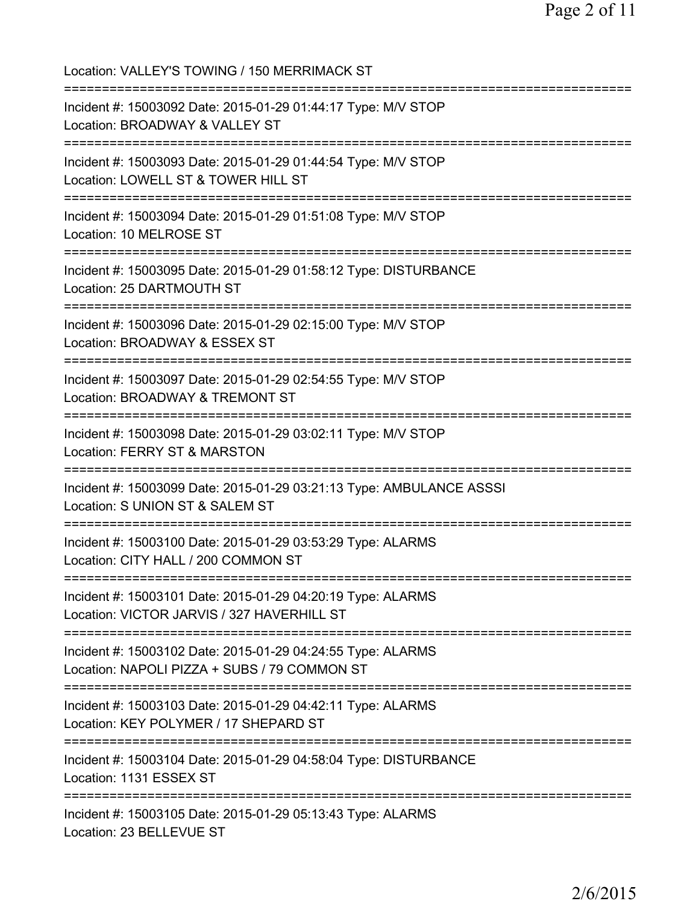Location: VALLEY'S TOWING / 150 MERRIMACK ST =========================================================================== Incident #: 15003092 Date: 2015-01-29 01:44:17 Type: M/V STOP Location: BROADWAY & VALLEY ST =========================================================================== Incident #: 15003093 Date: 2015-01-29 01:44:54 Type: M/V STOP Location: LOWELL ST & TOWER HILL ST =========================================================================== Incident #: 15003094 Date: 2015-01-29 01:51:08 Type: M/V STOP Location: 10 MELROSE ST =========================================================================== Incident #: 15003095 Date: 2015-01-29 01:58:12 Type: DISTURBANCE Location: 25 DARTMOUTH ST =========================================================================== Incident #: 15003096 Date: 2015-01-29 02:15:00 Type: M/V STOP Location: BROADWAY & ESSEX ST =========================================================================== Incident #: 15003097 Date: 2015-01-29 02:54:55 Type: M/V STOP Location: BROADWAY & TREMONT ST =========================================================================== Incident #: 15003098 Date: 2015-01-29 03:02:11 Type: M/V STOP Location: FERRY ST & MARSTON =========================================================================== Incident #: 15003099 Date: 2015-01-29 03:21:13 Type: AMBULANCE ASSSI Location: S UNION ST & SALEM ST =========================================================================== Incident #: 15003100 Date: 2015-01-29 03:53:29 Type: ALARMS Location: CITY HALL / 200 COMMON ST =========================================================================== Incident #: 15003101 Date: 2015-01-29 04:20:19 Type: ALARMS Location: VICTOR JARVIS / 327 HAVERHILL ST =========================================================================== Incident #: 15003102 Date: 2015-01-29 04:24:55 Type: ALARMS Location: NAPOLI PIZZA + SUBS / 79 COMMON ST =========================================================================== Incident #: 15003103 Date: 2015-01-29 04:42:11 Type: ALARMS Location: KEY POLYMER / 17 SHEPARD ST =========================================================================== Incident #: 15003104 Date: 2015-01-29 04:58:04 Type: DISTURBANCE Location: 1131 ESSEX ST =========================================================================== Incident #: 15003105 Date: 2015-01-29 05:13:43 Type: ALARMS Location: 23 BELLEVUE ST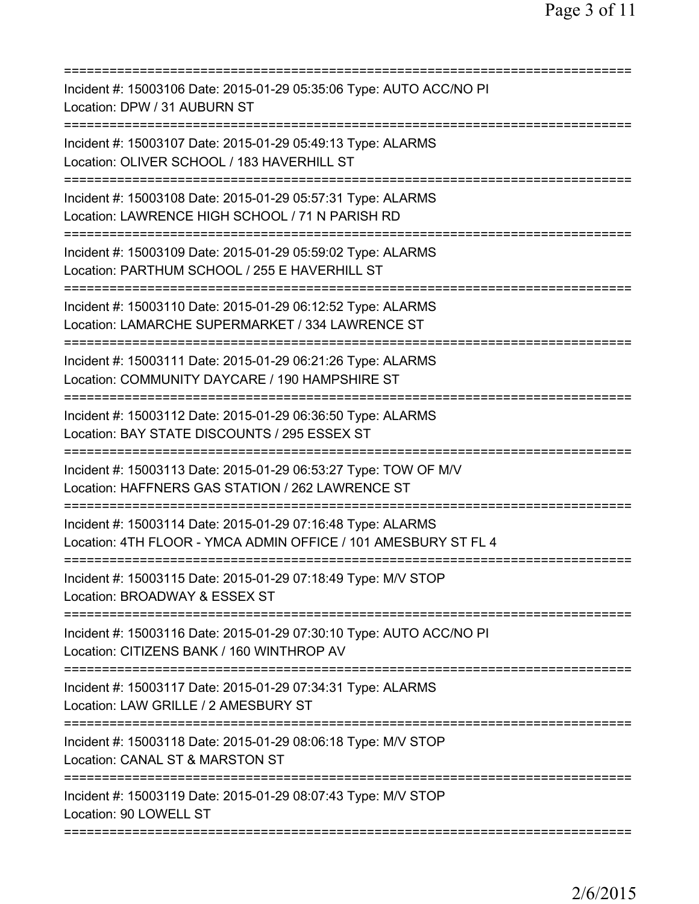| Incident #: 15003106 Date: 2015-01-29 05:35:06 Type: AUTO ACC/NO PI<br>Location: DPW / 31 AUBURN ST                                              |
|--------------------------------------------------------------------------------------------------------------------------------------------------|
| Incident #: 15003107 Date: 2015-01-29 05:49:13 Type: ALARMS<br>Location: OLIVER SCHOOL / 183 HAVERHILL ST                                        |
| Incident #: 15003108 Date: 2015-01-29 05:57:31 Type: ALARMS<br>Location: LAWRENCE HIGH SCHOOL / 71 N PARISH RD<br>============================== |
| Incident #: 15003109 Date: 2015-01-29 05:59:02 Type: ALARMS<br>Location: PARTHUM SCHOOL / 255 E HAVERHILL ST                                     |
| Incident #: 15003110 Date: 2015-01-29 06:12:52 Type: ALARMS<br>Location: LAMARCHE SUPERMARKET / 334 LAWRENCE ST                                  |
| Incident #: 15003111 Date: 2015-01-29 06:21:26 Type: ALARMS<br>Location: COMMUNITY DAYCARE / 190 HAMPSHIRE ST                                    |
| Incident #: 15003112 Date: 2015-01-29 06:36:50 Type: ALARMS<br>Location: BAY STATE DISCOUNTS / 295 ESSEX ST                                      |
| Incident #: 15003113 Date: 2015-01-29 06:53:27 Type: TOW OF M/V<br>Location: HAFFNERS GAS STATION / 262 LAWRENCE ST                              |
| Incident #: 15003114 Date: 2015-01-29 07:16:48 Type: ALARMS<br>Location: 4TH FLOOR - YMCA ADMIN OFFICE / 101 AMESBURY ST FL 4                    |
| Incident #: 15003115 Date: 2015-01-29 07:18:49 Type: M/V STOP<br>Location: BROADWAY & ESSEX ST                                                   |
| Incident #: 15003116 Date: 2015-01-29 07:30:10 Type: AUTO ACC/NO PI<br>Location: CITIZENS BANK / 160 WINTHROP AV                                 |
| Incident #: 15003117 Date: 2015-01-29 07:34:31 Type: ALARMS<br>Location: LAW GRILLE / 2 AMESBURY ST                                              |
| Incident #: 15003118 Date: 2015-01-29 08:06:18 Type: M/V STOP<br>Location: CANAL ST & MARSTON ST                                                 |
| Incident #: 15003119 Date: 2015-01-29 08:07:43 Type: M/V STOP<br>Location: 90 LOWELL ST                                                          |
|                                                                                                                                                  |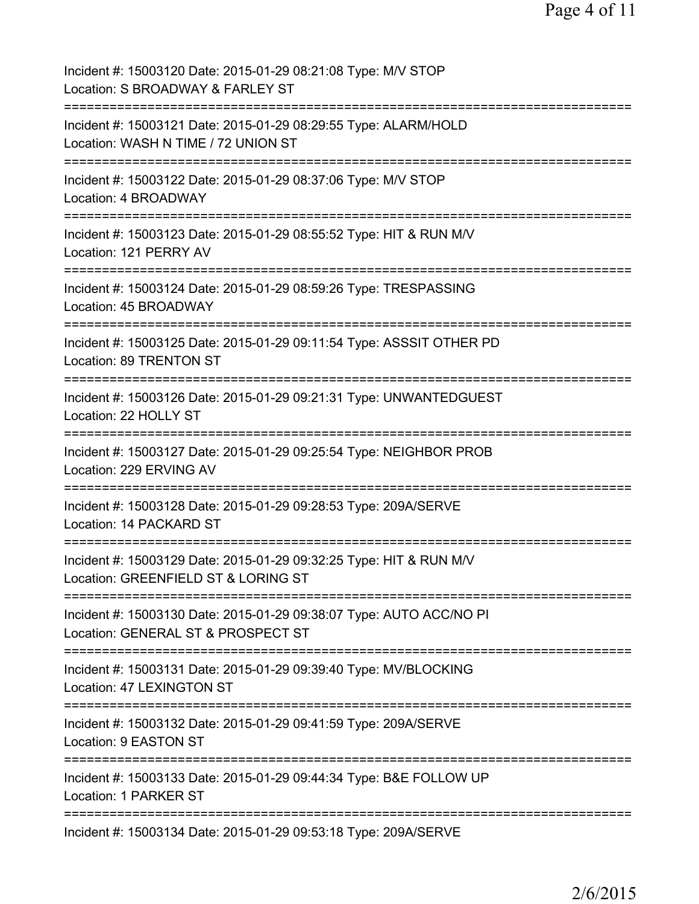| Incident #: 15003120 Date: 2015-01-29 08:21:08 Type: M/V STOP<br>Location: S BROADWAY & FARLEY ST         |
|-----------------------------------------------------------------------------------------------------------|
| Incident #: 15003121 Date: 2015-01-29 08:29:55 Type: ALARM/HOLD<br>Location: WASH N TIME / 72 UNION ST    |
| Incident #: 15003122 Date: 2015-01-29 08:37:06 Type: M/V STOP<br>Location: 4 BROADWAY                     |
| Incident #: 15003123 Date: 2015-01-29 08:55:52 Type: HIT & RUN M/V<br>Location: 121 PERRY AV              |
| Incident #: 15003124 Date: 2015-01-29 08:59:26 Type: TRESPASSING<br>Location: 45 BROADWAY                 |
| Incident #: 15003125 Date: 2015-01-29 09:11:54 Type: ASSSIT OTHER PD<br>Location: 89 TRENTON ST           |
| Incident #: 15003126 Date: 2015-01-29 09:21:31 Type: UNWANTEDGUEST<br>Location: 22 HOLLY ST               |
| Incident #: 15003127 Date: 2015-01-29 09:25:54 Type: NEIGHBOR PROB<br>Location: 229 ERVING AV             |
| Incident #: 15003128 Date: 2015-01-29 09:28:53 Type: 209A/SERVE<br>Location: 14 PACKARD ST                |
| Incident #: 15003129 Date: 2015-01-29 09:32:25 Type: HIT & RUN M/V<br>Location: GREENFIELD ST & LORING ST |
| Incident #: 15003130 Date: 2015-01-29 09:38:07 Type: AUTO ACC/NO PI<br>Location: GENERAL ST & PROSPECT ST |
| Incident #: 15003131 Date: 2015-01-29 09:39:40 Type: MV/BLOCKING<br>Location: 47 LEXINGTON ST             |
| Incident #: 15003132 Date: 2015-01-29 09:41:59 Type: 209A/SERVE<br>Location: 9 EASTON ST                  |
| Incident #: 15003133 Date: 2015-01-29 09:44:34 Type: B&E FOLLOW UP<br>Location: 1 PARKER ST               |
| Incident #: 15003134 Date: 2015-01-29 09:53:18 Type: 209A/SERVE                                           |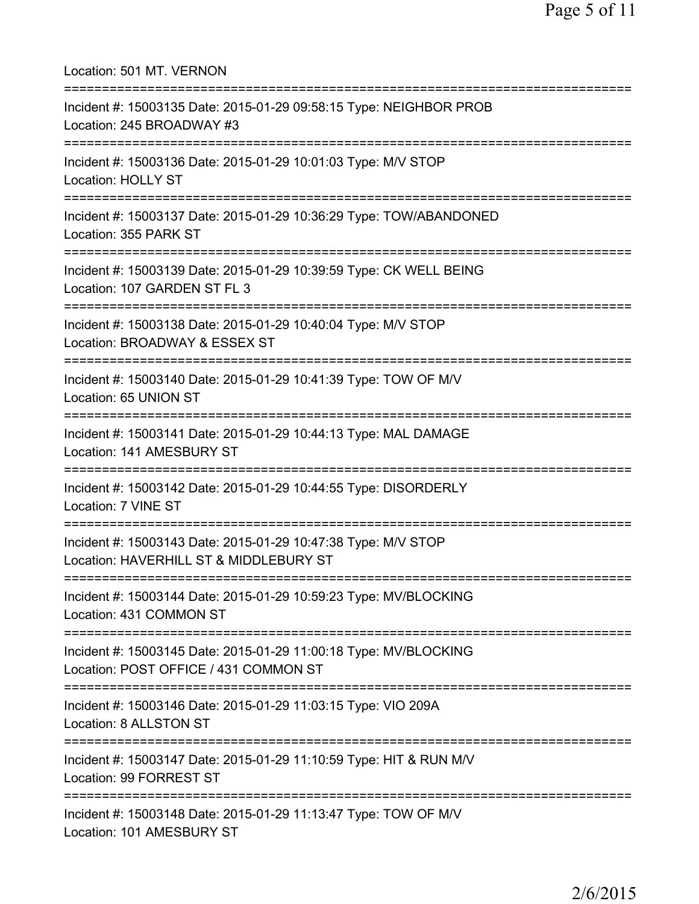Location: 501 MT. VERNON =========================================================================== Incident #: 15003135 Date: 2015-01-29 09:58:15 Type: NEIGHBOR PROB Location: 245 BROADWAY #3 =========================================================================== Incident #: 15003136 Date: 2015-01-29 10:01:03 Type: M/V STOP Location: HOLLY ST =========================================================================== Incident #: 15003137 Date: 2015-01-29 10:36:29 Type: TOW/ABANDONED Location: 355 PARK ST =========================================================================== Incident #: 15003139 Date: 2015-01-29 10:39:59 Type: CK WELL BEING Location: 107 GARDEN ST FL 3 =========================================================================== Incident #: 15003138 Date: 2015-01-29 10:40:04 Type: M/V STOP Location: BROADWAY & ESSEX ST =========================================================================== Incident #: 15003140 Date: 2015-01-29 10:41:39 Type: TOW OF M/V Location: 65 UNION ST =========================================================================== Incident #: 15003141 Date: 2015-01-29 10:44:13 Type: MAL DAMAGE Location: 141 AMESBURY ST =========================================================================== Incident #: 15003142 Date: 2015-01-29 10:44:55 Type: DISORDERLY Location: 7 VINE ST =========================================================================== Incident #: 15003143 Date: 2015-01-29 10:47:38 Type: M/V STOP Location: HAVERHILL ST & MIDDLEBURY ST =========================================================================== Incident #: 15003144 Date: 2015-01-29 10:59:23 Type: MV/BLOCKING Location: 431 COMMON ST =========================================================================== Incident #: 15003145 Date: 2015-01-29 11:00:18 Type: MV/BLOCKING Location: POST OFFICE / 431 COMMON ST =========================================================================== Incident #: 15003146 Date: 2015-01-29 11:03:15 Type: VIO 209A Location: 8 ALLSTON ST =========================================================================== Incident #: 15003147 Date: 2015-01-29 11:10:59 Type: HIT & RUN M/V Location: 99 FORREST ST =========================================================================== Incident #: 15003148 Date: 2015-01-29 11:13:47 Type: TOW OF M/V Location: 101 AMESBURY ST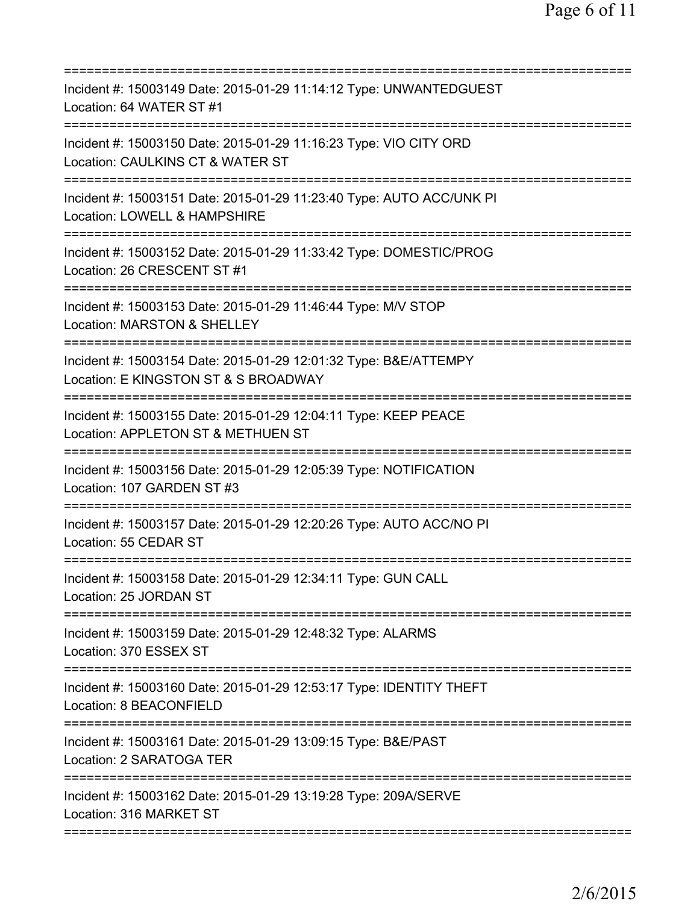| Incident #: 15003149 Date: 2015-01-29 11:14:12 Type: UNWANTEDGUEST<br>Location: 64 WATER ST #1<br>===================<br>===================                        |
|---------------------------------------------------------------------------------------------------------------------------------------------------------------------|
| Incident #: 15003150 Date: 2015-01-29 11:16:23 Type: VIO CITY ORD<br>Location: CAULKINS CT & WATER ST                                                               |
| Incident #: 15003151 Date: 2015-01-29 11:23:40 Type: AUTO ACC/UNK PI<br>Location: LOWELL & HAMPSHIRE                                                                |
| Incident #: 15003152 Date: 2015-01-29 11:33:42 Type: DOMESTIC/PROG<br>Location: 26 CRESCENT ST #1                                                                   |
| Incident #: 15003153 Date: 2015-01-29 11:46:44 Type: M/V STOP<br>Location: MARSTON & SHELLEY                                                                        |
| ========================<br>Incident #: 15003154 Date: 2015-01-29 12:01:32 Type: B&E/ATTEMPY<br>Location: E KINGSTON ST & S BROADWAY<br>=========================== |
| Incident #: 15003155 Date: 2015-01-29 12:04:11 Type: KEEP PEACE<br>Location: APPLETON ST & METHUEN ST<br>================================                           |
| Incident #: 15003156 Date: 2015-01-29 12:05:39 Type: NOTIFICATION<br>Location: 107 GARDEN ST #3                                                                     |
| Incident #: 15003157 Date: 2015-01-29 12:20:26 Type: AUTO ACC/NO PI<br>Location: 55 CEDAR ST                                                                        |
| Incident #: 15003158 Date: 2015-01-29 12:34:11 Type: GUN CALL<br>Location: 25 JORDAN ST                                                                             |
| Incident #: 15003159 Date: 2015-01-29 12:48:32 Type: ALARMS<br>Location: 370 ESSEX ST                                                                               |
| Incident #: 15003160 Date: 2015-01-29 12:53:17 Type: IDENTITY THEFT<br>Location: 8 BEACONFIELD                                                                      |
| Incident #: 15003161 Date: 2015-01-29 13:09:15 Type: B&E/PAST<br>Location: 2 SARATOGA TER                                                                           |
| Incident #: 15003162 Date: 2015-01-29 13:19:28 Type: 209A/SERVE<br>Location: 316 MARKET ST                                                                          |
|                                                                                                                                                                     |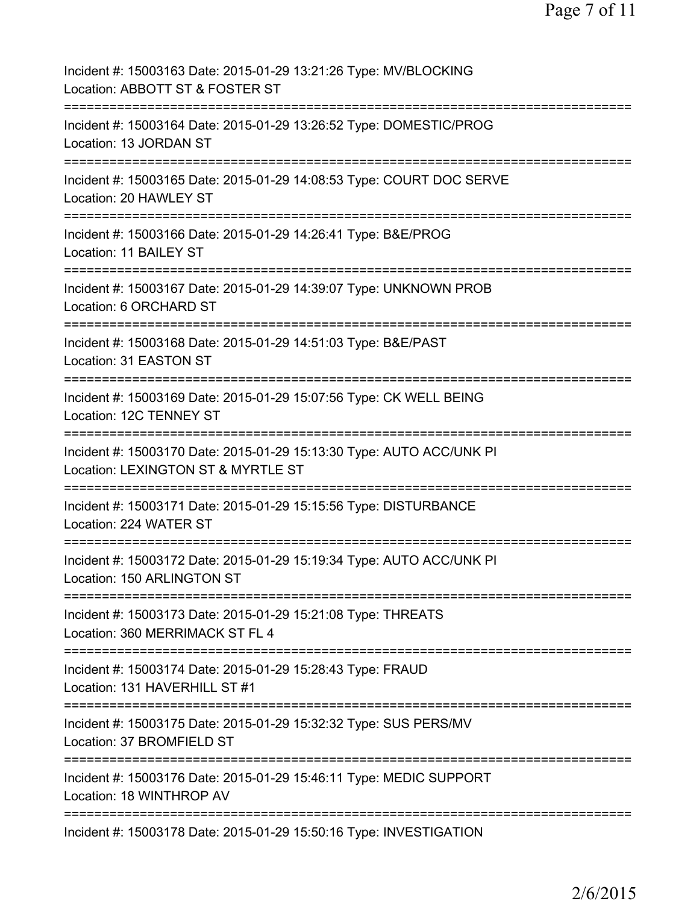| Incident #: 15003163 Date: 2015-01-29 13:21:26 Type: MV/BLOCKING<br>Location: ABBOTT ST & FOSTER ST                                 |
|-------------------------------------------------------------------------------------------------------------------------------------|
| Incident #: 15003164 Date: 2015-01-29 13:26:52 Type: DOMESTIC/PROG<br>Location: 13 JORDAN ST                                        |
| Incident #: 15003165 Date: 2015-01-29 14:08:53 Type: COURT DOC SERVE<br>Location: 20 HAWLEY ST                                      |
| Incident #: 15003166 Date: 2015-01-29 14:26:41 Type: B&E/PROG<br>Location: 11 BAILEY ST                                             |
| Incident #: 15003167 Date: 2015-01-29 14:39:07 Type: UNKNOWN PROB<br>Location: 6 ORCHARD ST                                         |
| Incident #: 15003168 Date: 2015-01-29 14:51:03 Type: B&E/PAST<br>Location: 31 EASTON ST                                             |
| Incident #: 15003169 Date: 2015-01-29 15:07:56 Type: CK WELL BEING<br>Location: 12C TENNEY ST<br>;================================= |
| Incident #: 15003170 Date: 2015-01-29 15:13:30 Type: AUTO ACC/UNK PI<br>Location: LEXINGTON ST & MYRTLE ST                          |
| Incident #: 15003171 Date: 2015-01-29 15:15:56 Type: DISTURBANCE<br>Location: 224 WATER ST                                          |
| Incident #: 15003172 Date: 2015-01-29 15:19:34 Type: AUTO ACC/UNK PI<br>Location: 150 ARLINGTON ST                                  |
| Incident #: 15003173 Date: 2015-01-29 15:21:08 Type: THREATS<br>Location: 360 MERRIMACK ST FL 4                                     |
| ---------------------------<br>Incident #: 15003174 Date: 2015-01-29 15:28:43 Type: FRAUD<br>Location: 131 HAVERHILL ST #1          |
| Incident #: 15003175 Date: 2015-01-29 15:32:32 Type: SUS PERS/MV<br>Location: 37 BROMFIELD ST                                       |
| Incident #: 15003176 Date: 2015-01-29 15:46:11 Type: MEDIC SUPPORT<br>Location: 18 WINTHROP AV                                      |
| Incident #: 15003178 Date: 2015-01-29 15:50:16 Type: INVESTIGATION                                                                  |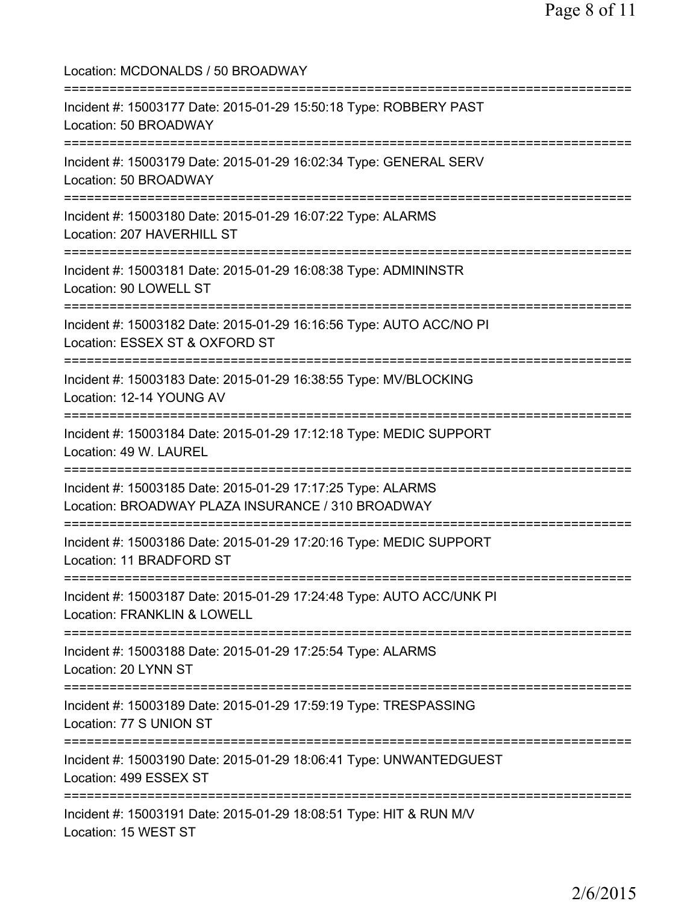Location: MCDONALDS / 50 BROADWAY =========================================================================== Incident #: 15003177 Date: 2015-01-29 15:50:18 Type: ROBBERY PAST Location: 50 BROADWAY =========================================================================== Incident #: 15003179 Date: 2015-01-29 16:02:34 Type: GENERAL SERV Location: 50 BROADWAY =========================================================================== Incident #: 15003180 Date: 2015-01-29 16:07:22 Type: ALARMS Location: 207 HAVERHILL ST =========================================================================== Incident #: 15003181 Date: 2015-01-29 16:08:38 Type: ADMININSTR Location: 90 LOWELL ST =========================================================================== Incident #: 15003182 Date: 2015-01-29 16:16:56 Type: AUTO ACC/NO PI Location: ESSEX ST & OXFORD ST =========================================================================== Incident #: 15003183 Date: 2015-01-29 16:38:55 Type: MV/BLOCKING Location: 12-14 YOUNG AV =========================================================================== Incident #: 15003184 Date: 2015-01-29 17:12:18 Type: MEDIC SUPPORT Location: 49 W. LAUREL =========================================================================== Incident #: 15003185 Date: 2015-01-29 17:17:25 Type: ALARMS Location: BROADWAY PLAZA INSURANCE / 310 BROADWAY =========================================================================== Incident #: 15003186 Date: 2015-01-29 17:20:16 Type: MEDIC SUPPORT Location: 11 BRADFORD ST =========================================================================== Incident #: 15003187 Date: 2015-01-29 17:24:48 Type: AUTO ACC/UNK PI Location: FRANKLIN & LOWELL =========================================================================== Incident #: 15003188 Date: 2015-01-29 17:25:54 Type: ALARMS Location: 20 LYNN ST =========================================================================== Incident #: 15003189 Date: 2015-01-29 17:59:19 Type: TRESPASSING Location: 77 S UNION ST =========================================================================== Incident #: 15003190 Date: 2015-01-29 18:06:41 Type: UNWANTEDGUEST Location: 499 ESSEX ST =========================================================================== Incident #: 15003191 Date: 2015-01-29 18:08:51 Type: HIT & RUN M/V Location: 15 WEST ST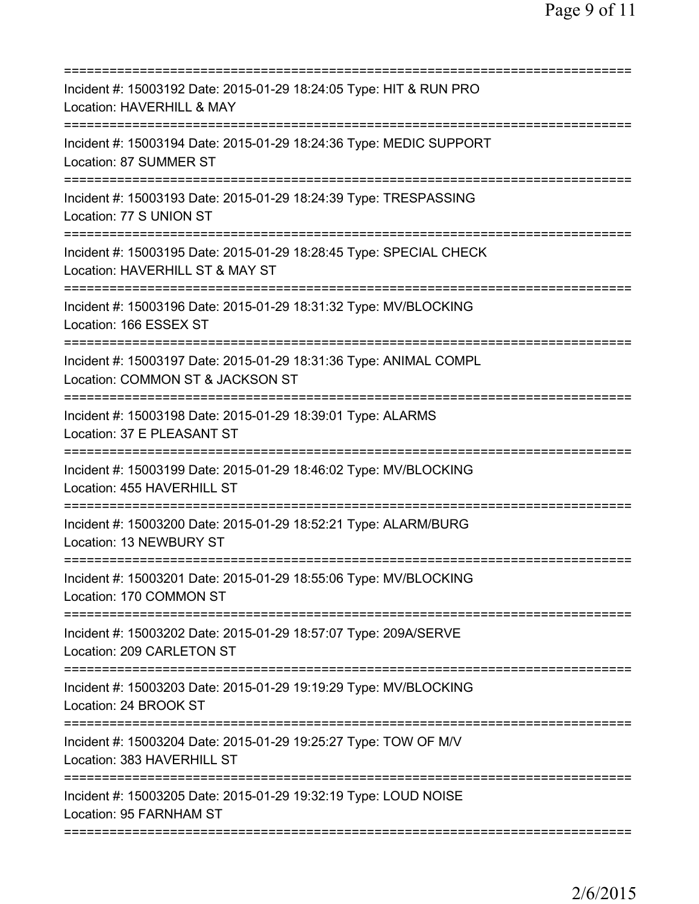| Incident #: 15003192 Date: 2015-01-29 18:24:05 Type: HIT & RUN PRO<br>Location: HAVERHILL & MAY       |
|-------------------------------------------------------------------------------------------------------|
| Incident #: 15003194 Date: 2015-01-29 18:24:36 Type: MEDIC SUPPORT<br>Location: 87 SUMMER ST          |
| Incident #: 15003193 Date: 2015-01-29 18:24:39 Type: TRESPASSING<br>Location: 77 S UNION ST           |
| Incident #: 15003195 Date: 2015-01-29 18:28:45 Type: SPECIAL CHECK<br>Location: HAVERHILL ST & MAY ST |
| Incident #: 15003196 Date: 2015-01-29 18:31:32 Type: MV/BLOCKING<br>Location: 166 ESSEX ST            |
| Incident #: 15003197 Date: 2015-01-29 18:31:36 Type: ANIMAL COMPL<br>Location: COMMON ST & JACKSON ST |
| Incident #: 15003198 Date: 2015-01-29 18:39:01 Type: ALARMS<br>Location: 37 E PLEASANT ST             |
| Incident #: 15003199 Date: 2015-01-29 18:46:02 Type: MV/BLOCKING<br>Location: 455 HAVERHILL ST        |
| Incident #: 15003200 Date: 2015-01-29 18:52:21 Type: ALARM/BURG<br>Location: 13 NEWBURY ST            |
| Incident #: 15003201 Date: 2015-01-29 18:55:06 Type: MV/BLOCKING<br>Location: 170 COMMON ST           |
| Incident #: 15003202 Date: 2015-01-29 18:57:07 Type: 209A/SERVE<br>Location: 209 CARLETON ST          |
| Incident #: 15003203 Date: 2015-01-29 19:19:29 Type: MV/BLOCKING<br>Location: 24 BROOK ST             |
| Incident #: 15003204 Date: 2015-01-29 19:25:27 Type: TOW OF M/V<br>Location: 383 HAVERHILL ST         |
| Incident #: 15003205 Date: 2015-01-29 19:32:19 Type: LOUD NOISE<br>Location: 95 FARNHAM ST            |
|                                                                                                       |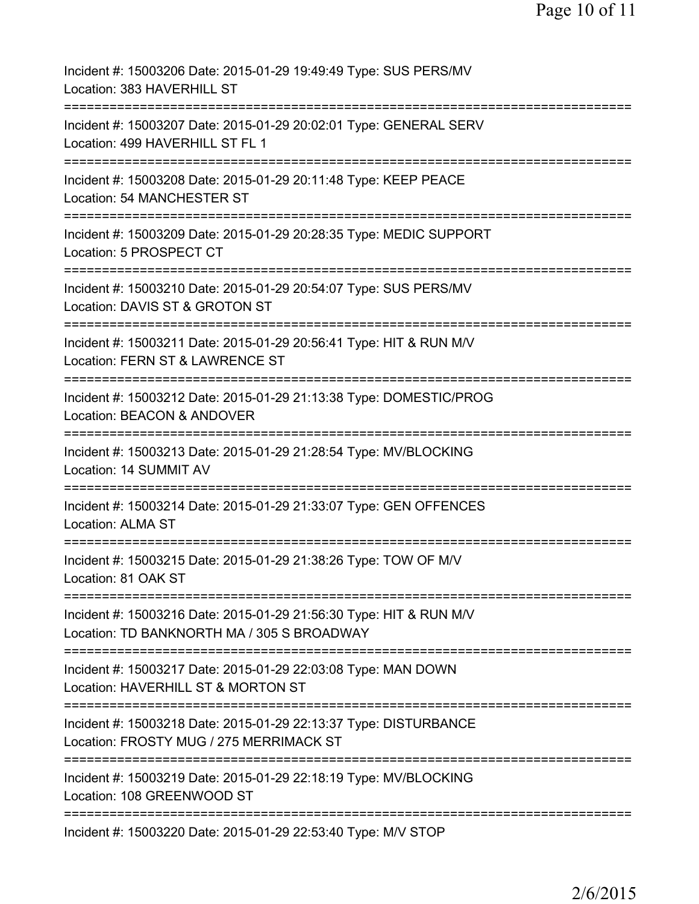| Incident #: 15003206 Date: 2015-01-29 19:49:49 Type: SUS PERS/MV<br>Location: 383 HAVERHILL ST                                      |
|-------------------------------------------------------------------------------------------------------------------------------------|
| ====================<br>Incident #: 15003207 Date: 2015-01-29 20:02:01 Type: GENERAL SERV<br>Location: 499 HAVERHILL ST FL 1        |
| Incident #: 15003208 Date: 2015-01-29 20:11:48 Type: KEEP PEACE<br>Location: 54 MANCHESTER ST                                       |
| Incident #: 15003209 Date: 2015-01-29 20:28:35 Type: MEDIC SUPPORT<br>Location: 5 PROSPECT CT                                       |
| Incident #: 15003210 Date: 2015-01-29 20:54:07 Type: SUS PERS/MV<br>Location: DAVIS ST & GROTON ST                                  |
| =========================<br>Incident #: 15003211 Date: 2015-01-29 20:56:41 Type: HIT & RUN M/V<br>Location: FERN ST & LAWRENCE ST  |
| Incident #: 15003212 Date: 2015-01-29 21:13:38 Type: DOMESTIC/PROG<br>Location: BEACON & ANDOVER                                    |
| Incident #: 15003213 Date: 2015-01-29 21:28:54 Type: MV/BLOCKING<br>Location: 14 SUMMIT AV                                          |
| Incident #: 15003214 Date: 2015-01-29 21:33:07 Type: GEN OFFENCES<br><b>Location: ALMA ST</b>                                       |
| -------------------<br>Incident #: 15003215 Date: 2015-01-29 21:38:26 Type: TOW OF M/V<br>Location: 81 OAK ST                       |
| Incident #: 15003216 Date: 2015-01-29 21:56:30 Type: HIT & RUN M/V<br>Location: TD BANKNORTH MA / 305 S BROADWAY                    |
| Incident #: 15003217 Date: 2015-01-29 22:03:08 Type: MAN DOWN<br>Location: HAVERHILL ST & MORTON ST                                 |
| Incident #: 15003218 Date: 2015-01-29 22:13:37 Type: DISTURBANCE<br>Location: FROSTY MUG / 275 MERRIMACK ST                         |
| =================================<br>Incident #: 15003219 Date: 2015-01-29 22:18:19 Type: MV/BLOCKING<br>Location: 108 GREENWOOD ST |
| Incident #: 15003220 Date: 2015-01-29 22:53:40 Type: M/V STOP                                                                       |